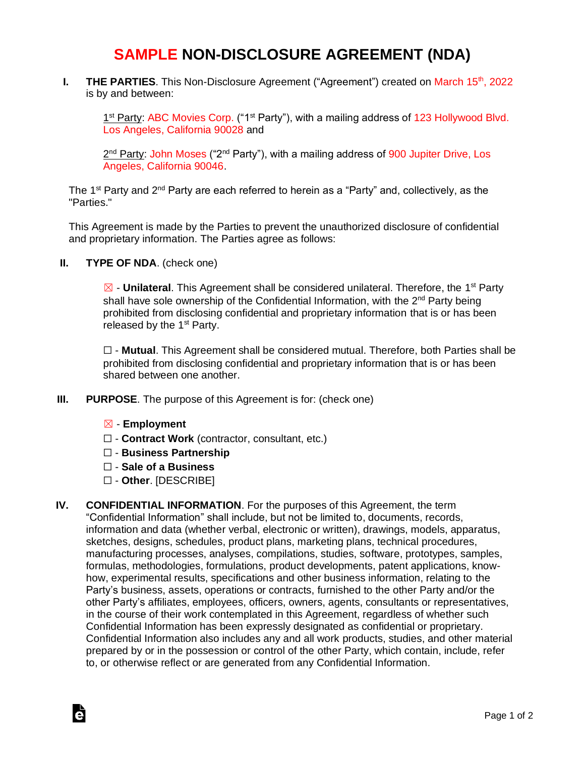## **SAMPLE NON-DISCLOSURE AGREEMENT (NDA)**

**I. THE PARTIES**. This Non-Disclosure Agreement ("Agreement") created on March 15<sup>th</sup>, 2022 is by and between:

1<sup>st</sup> Party: ABC Movies Corp. ("1<sup>st</sup> Party"), with a mailing address of 123 Hollywood Blvd. Los Angeles, California 90028 and

2<sup>nd</sup> Party: John Moses ("2<sup>nd</sup> Party"), with a mailing address of 900 Jupiter Drive, Los Angeles, California 90046.

The 1<sup>st</sup> Party and 2<sup>nd</sup> Party are each referred to herein as a "Party" and, collectively, as the "Parties."

This Agreement is made by the Parties to prevent the unauthorized disclosure of confidential and proprietary information. The Parties agree as follows:

**II. TYPE OF NDA**. (check one)

 $\boxed{\boxtimes}$  **- Unilateral**. This Agreement shall be considered unilateral. Therefore, the 1<sup>st</sup> Party shall have sole ownership of the Confidential Information, with the 2<sup>nd</sup> Party being prohibited from disclosing confidential and proprietary information that is or has been released by the  $1<sup>st</sup>$  Party.

☐ - **Mutual**. This Agreement shall be considered mutual. Therefore, both Parties shall be prohibited from disclosing confidential and proprietary information that is or has been shared between one another.

- **III. PURPOSE**. The purpose of this Agreement is for: (check one)
	- ☒ **Employment**

Ġ

- ☐ **Contract Work** (contractor, consultant, etc.)
- ☐ **Business Partnership**
- ☐ **Sale of a Business**
- ☐ **Other**. [DESCRIBE]
- **IV. CONFIDENTIAL INFORMATION**. For the purposes of this Agreement, the term "Confidential Information" shall include, but not be limited to, documents, records, information and data (whether verbal, electronic or written), drawings, models, apparatus, sketches, designs, schedules, product plans, marketing plans, technical procedures, manufacturing processes, analyses, compilations, studies, software, prototypes, samples, formulas, methodologies, formulations, product developments, patent applications, knowhow, experimental results, specifications and other business information, relating to the Party's business, assets, operations or contracts, furnished to the other Party and/or the other Party's affiliates, employees, officers, owners, agents, consultants or representatives, in the course of their work contemplated in this Agreement, regardless of whether such Confidential Information has been expressly designated as confidential or proprietary. Confidential Information also includes any and all work products, studies, and other material prepared by or in the possession or control of the other Party, which contain, include, refer to, or otherwise reflect or are generated from any Confidential Information.